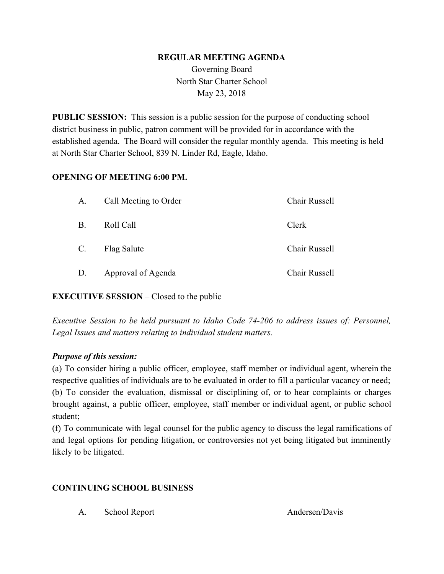#### **REGULAR MEETING AGENDA**

Governing Board North Star Charter School May 23, 2018

**PUBLIC SESSION:** This session is a public session for the purpose of conducting school district business in public, patron comment will be provided for in accordance with the established agenda. The Board will consider the regular monthly agenda. This meeting is held at North Star Charter School, 839 N. Linder Rd, Eagle, Idaho.

#### **OPENING OF MEETING 6:00 PM.**

| A.          | Call Meeting to Order | Chair Russell |
|-------------|-----------------------|---------------|
| Β.          | Roll Call             | Clerk         |
| $C_{\cdot}$ | <b>Flag Salute</b>    | Chair Russell |
| D.          | Approval of Agenda    | Chair Russell |

### **EXECUTIVE SESSION** – Closed to the public

*Executive Session to be held pursuant to Idaho Code 74-206 to address issues of: Personnel, Legal Issues and matters relating to individual student matters.*

### *Purpose of this session:*

(a) To consider hiring a public officer, employee, staff member or individual agent, wherein the respective qualities of individuals are to be evaluated in order to fill a particular vacancy or need; (b) To consider the evaluation, dismissal or disciplining of, or to hear complaints or charges brought against, a public officer, employee, staff member or individual agent, or public school student;

(f) To communicate with legal counsel for the public agency to discuss the legal ramifications of and legal options for pending litigation, or controversies not yet being litigated but imminently likely to be litigated.

## **CONTINUING SCHOOL BUSINESS**

A. School Report Andersen/Davis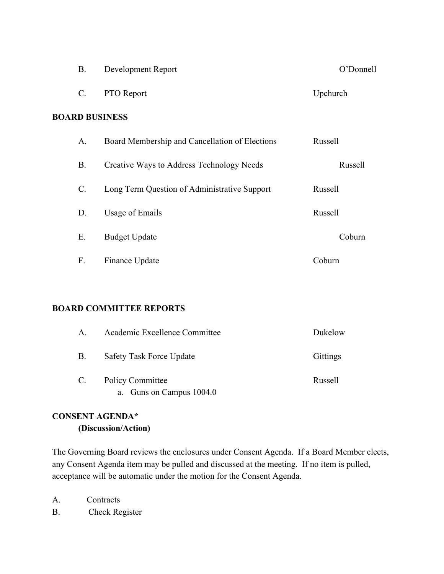|                       | B.        | Development Report                             | O'Donnell |  |  |  |  |
|-----------------------|-----------|------------------------------------------------|-----------|--|--|--|--|
|                       | C.        | PTO Report                                     | Upchurch  |  |  |  |  |
| <b>BOARD BUSINESS</b> |           |                                                |           |  |  |  |  |
|                       | A.        | Board Membership and Cancellation of Elections | Russell   |  |  |  |  |
|                       | <b>B.</b> | Creative Ways to Address Technology Needs      | Russell   |  |  |  |  |
|                       | C.        | Long Term Question of Administrative Support   | Russell   |  |  |  |  |
|                       | D.        | Usage of Emails                                | Russell   |  |  |  |  |
|                       | Е.        | <b>Budget Update</b>                           | Coburn    |  |  |  |  |
|                       | F.        | Finance Update                                 | Coburn    |  |  |  |  |

### **BOARD COMMITTEE REPORTS**

| A.              | Academic Excellence Committee                          | Dukelow         |
|-----------------|--------------------------------------------------------|-----------------|
| <b>B.</b>       | Safety Task Force Update                               | <b>Gittings</b> |
| $\mathcal{C}$ . | <b>Policy Committee</b><br>Guns on Campus 1004.0<br>a. | Russell         |

# **CONSENT AGENDA\* (Discussion/Action)**

The Governing Board reviews the enclosures under Consent Agenda. If a Board Member elects, any Consent Agenda item may be pulled and discussed at the meeting. If no item is pulled, acceptance will be automatic under the motion for the Consent Agenda.

- A. Contracts
- B. Check Register